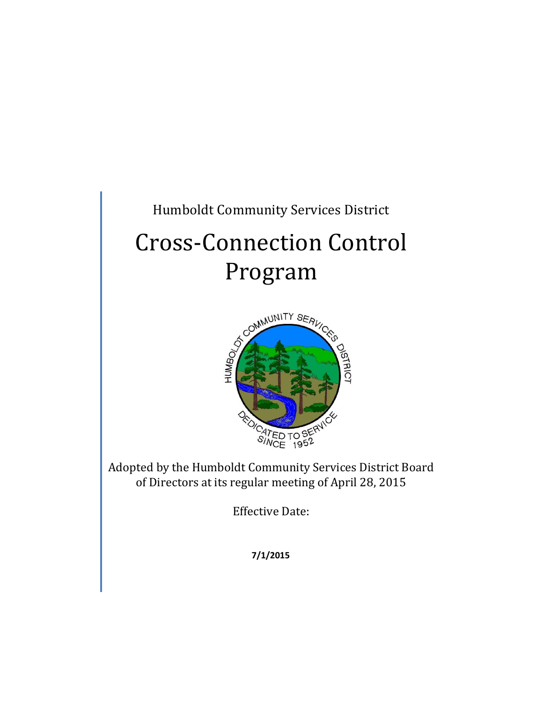### Humboldt Community Services District

# Cross-Connection Control



Adopted by the Humboldt Community Services District Board of Directors at its regular meeting of April 28, 2015

Effective Date:

**7/1/2015**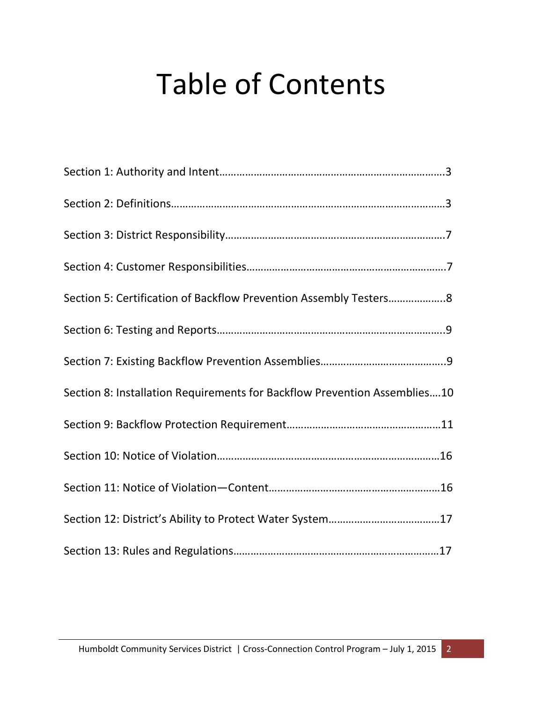## Table of Contents

| Section 8: Installation Requirements for Backflow Prevention Assemblies10 |
|---------------------------------------------------------------------------|
|                                                                           |
|                                                                           |
|                                                                           |
|                                                                           |
|                                                                           |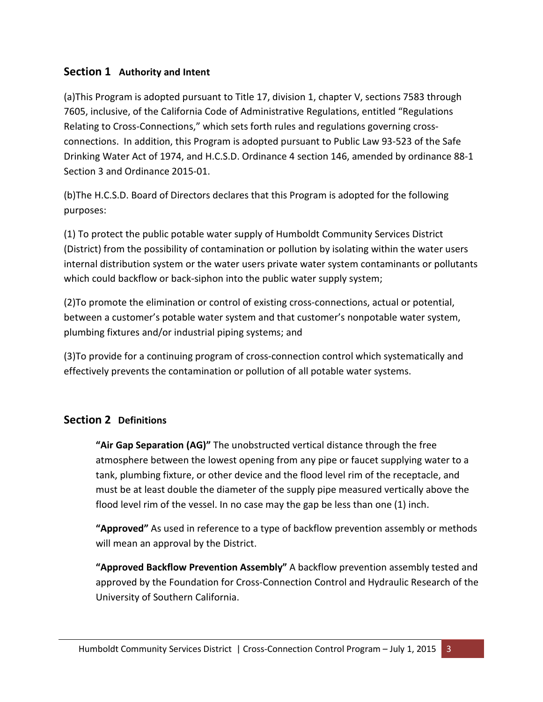#### **Section 1 Authority and Intent**

(a)This Program is adopted pursuant to Title 17, division 1, chapter V, sections 7583 through 7605, inclusive, of the California Code of Administrative Regulations, entitled "Regulations Relating to Cross-Connections," which sets forth rules and regulations governing crossconnections. In addition, this Program is adopted pursuant to Public Law 93-523 of the Safe Drinking Water Act of 1974, and H.C.S.D. Ordinance 4 section 146, amended by ordinance 88-1 Section 3 and Ordinance 2015-01.

(b)The H.C.S.D. Board of Directors declares that this Program is adopted for the following purposes:

(1) To protect the public potable water supply of Humboldt Community Services District (District) from the possibility of contamination or pollution by isolating within the water users internal distribution system or the water users private water system contaminants or pollutants which could backflow or back-siphon into the public water supply system;

(2)To promote the elimination or control of existing cross-connections, actual or potential, between a customer's potable water system and that customer's nonpotable water system, plumbing fixtures and/or industrial piping systems; and

(3)To provide for a continuing program of cross-connection control which systematically and effectively prevents the contamination or pollution of all potable water systems.

#### **Section 2 Definitions**

**"Air Gap Separation (AG)"** The unobstructed vertical distance through the free atmosphere between the lowest opening from any pipe or faucet supplying water to a tank, plumbing fixture, or other device and the flood level rim of the receptacle, and must be at least double the diameter of the supply pipe measured vertically above the flood level rim of the vessel. In no case may the gap be less than one (1) inch.

**"Approved"** As used in reference to a type of backflow prevention assembly or methods will mean an approval by the District.

**"Approved Backflow Prevention Assembly"** A backflow prevention assembly tested and approved by the Foundation for Cross-Connection Control and Hydraulic Research of the University of Southern California.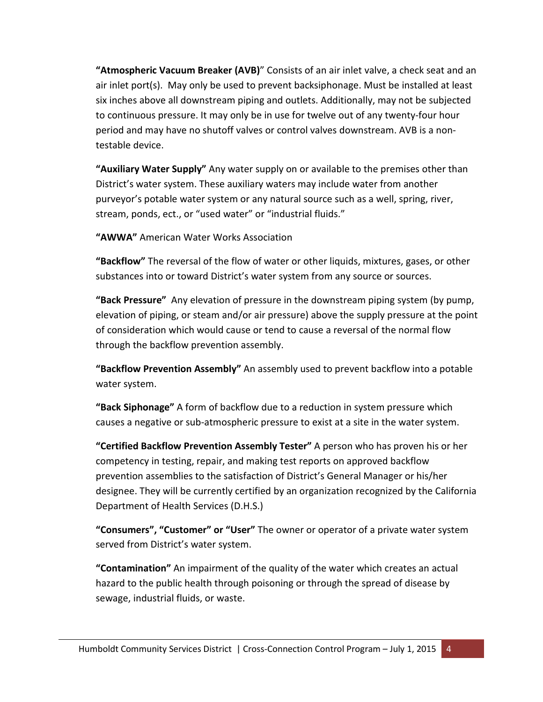**"Atmospheric Vacuum Breaker (AVB)**" Consists of an air inlet valve, a check seat and an air inlet port(s). May only be used to prevent backsiphonage. Must be installed at least six inches above all downstream piping and outlets. Additionally, may not be subjected to continuous pressure. It may only be in use for twelve out of any twenty-four hour period and may have no shutoff valves or control valves downstream. AVB is a nontestable device.

**"Auxiliary Water Supply"** Any water supply on or available to the premises other than District's water system. These auxiliary waters may include water from another purveyor's potable water system or any natural source such as a well, spring, river, stream, ponds, ect., or "used water" or "industrial fluids."

**"AWWA"** American Water Works Association

**"Backflow"** The reversal of the flow of water or other liquids, mixtures, gases, or other substances into or toward District's water system from any source or sources.

**"Back Pressure"** Any elevation of pressure in the downstream piping system (by pump, elevation of piping, or steam and/or air pressure) above the supply pressure at the point of consideration which would cause or tend to cause a reversal of the normal flow through the backflow prevention assembly.

**"Backflow Prevention Assembly"** An assembly used to prevent backflow into a potable water system.

**"Back Siphonage"** A form of backflow due to a reduction in system pressure which causes a negative or sub-atmospheric pressure to exist at a site in the water system.

**"Certified Backflow Prevention Assembly Tester"** A person who has proven his or her competency in testing, repair, and making test reports on approved backflow prevention assemblies to the satisfaction of District's General Manager or his/her designee. They will be currently certified by an organization recognized by the California Department of Health Services (D.H.S.)

**"Consumers", "Customer" or "User"** The owner or operator of a private water system served from District's water system.

**"Contamination"** An impairment of the quality of the water which creates an actual hazard to the public health through poisoning or through the spread of disease by sewage, industrial fluids, or waste.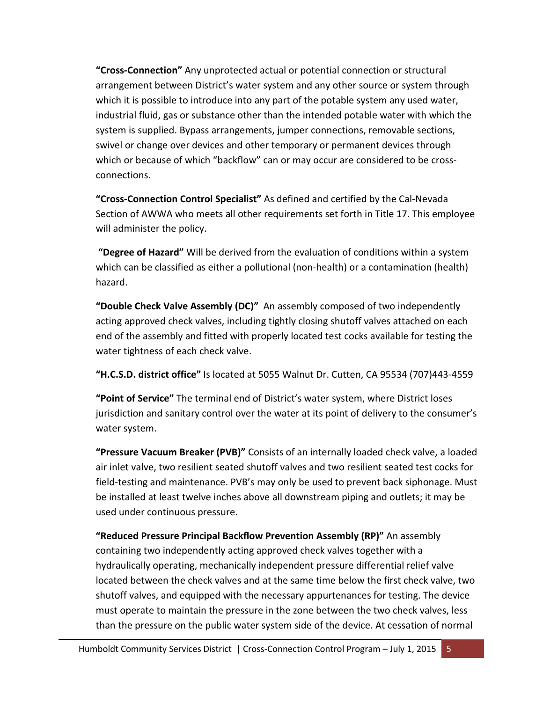**"Cross-Connection"** Any unprotected actual or potential connection or structural arrangement between District's water system and any other source or system through which it is possible to introduce into any part of the potable system any used water, industrial fluid, gas or substance other than the intended potable water with which the system is supplied. Bypass arrangements, jumper connections, removable sections, swivel or change over devices and other temporary or permanent devices through which or because of which "backflow" can or may occur are considered to be crossconnections.

**"Cross-Connection Control Specialist"** As defined and certified by the Cal-Nevada Section of AWWA who meets all other requirements set forth in Title 17. This employee will administer the policy.

 **"Degree of Hazard"** Will be derived from the evaluation of conditions within a system which can be classified as either a pollutional (non-health) or a contamination (health) hazard.

**"Double Check Valve Assembly (DC)"** An assembly composed of two independently acting approved check valves, including tightly closing shutoff valves attached on each end of the assembly and fitted with properly located test cocks available for testing the water tightness of each check valve.

**"H.C.S.D. district office"** Is located at 5055 Walnut Dr. Cutten, CA 95534 (707)443-4559

**"Point of Service"** The terminal end of District's water system, where District loses jurisdiction and sanitary control over the water at its point of delivery to the consumer's water system.

**"Pressure Vacuum Breaker (PVB)"** Consists of an internally loaded check valve, a loaded air inlet valve, two resilient seated shutoff valves and two resilient seated test cocks for field-testing and maintenance. PVB's may only be used to prevent back siphonage. Must be installed at least twelve inches above all downstream piping and outlets; it may be used under continuous pressure.

**"Reduced Pressure Principal Backflow Prevention Assembly (RP)"** An assembly containing two independently acting approved check valves together with a hydraulically operating, mechanically independent pressure differential relief valve located between the check valves and at the same time below the first check valve, two shutoff valves, and equipped with the necessary appurtenances for testing. The device must operate to maintain the pressure in the zone between the two check valves, less than the pressure on the public water system side of the device. At cessation of normal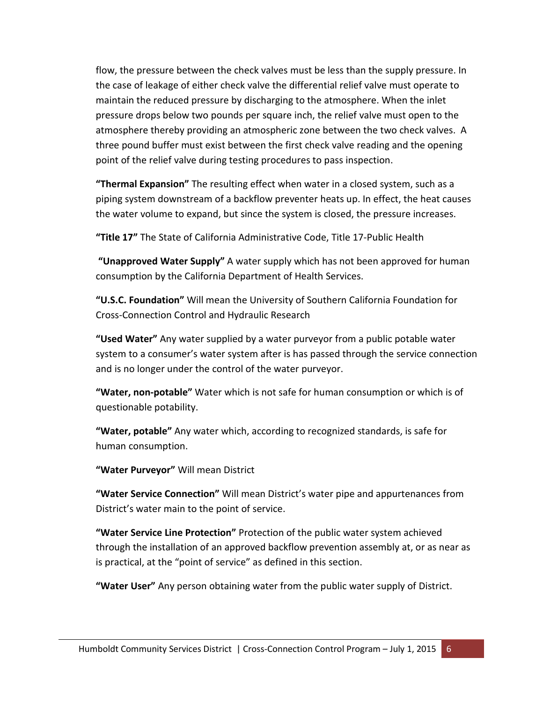flow, the pressure between the check valves must be less than the supply pressure. In the case of leakage of either check valve the differential relief valve must operate to maintain the reduced pressure by discharging to the atmosphere. When the inlet pressure drops below two pounds per square inch, the relief valve must open to the atmosphere thereby providing an atmospheric zone between the two check valves. A three pound buffer must exist between the first check valve reading and the opening point of the relief valve during testing procedures to pass inspection.

**"Thermal Expansion"** The resulting effect when water in a closed system, such as a piping system downstream of a backflow preventer heats up. In effect, the heat causes the water volume to expand, but since the system is closed, the pressure increases.

**"Title 17"** The State of California Administrative Code, Title 17-Public Health

 **"Unapproved Water Supply"** A water supply which has not been approved for human consumption by the California Department of Health Services.

**"U.S.C. Foundation"** Will mean the University of Southern California Foundation for Cross-Connection Control and Hydraulic Research

**"Used Water"** Any water supplied by a water purveyor from a public potable water system to a consumer's water system after is has passed through the service connection and is no longer under the control of the water purveyor.

**"Water, non-potable"** Water which is not safe for human consumption or which is of questionable potability.

**"Water, potable"** Any water which, according to recognized standards, is safe for human consumption.

**"Water Purveyor"** Will mean District

**"Water Service Connection"** Will mean District's water pipe and appurtenances from District's water main to the point of service.

**"Water Service Line Protection"** Protection of the public water system achieved through the installation of an approved backflow prevention assembly at, or as near as is practical, at the "point of service" as defined in this section.

**"Water User"** Any person obtaining water from the public water supply of District.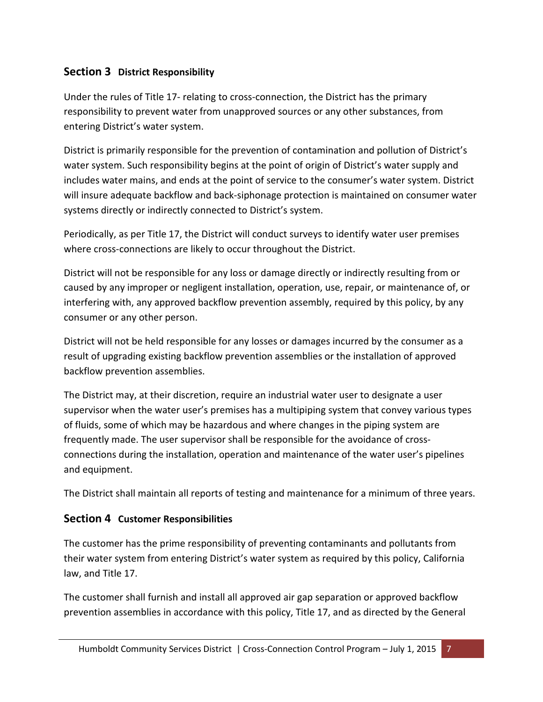#### **Section 3 District Responsibility**

Under the rules of Title 17- relating to cross-connection, the District has the primary responsibility to prevent water from unapproved sources or any other substances, from entering District's water system.

District is primarily responsible for the prevention of contamination and pollution of District's water system. Such responsibility begins at the point of origin of District's water supply and includes water mains, and ends at the point of service to the consumer's water system. District will insure adequate backflow and back-siphonage protection is maintained on consumer water systems directly or indirectly connected to District's system.

Periodically, as per Title 17, the District will conduct surveys to identify water user premises where cross-connections are likely to occur throughout the District.

District will not be responsible for any loss or damage directly or indirectly resulting from or caused by any improper or negligent installation, operation, use, repair, or maintenance of, or interfering with, any approved backflow prevention assembly, required by this policy, by any consumer or any other person.

District will not be held responsible for any losses or damages incurred by the consumer as a result of upgrading existing backflow prevention assemblies or the installation of approved backflow prevention assemblies.

The District may, at their discretion, require an industrial water user to designate a user supervisor when the water user's premises has a multipiping system that convey various types of fluids, some of which may be hazardous and where changes in the piping system are frequently made. The user supervisor shall be responsible for the avoidance of crossconnections during the installation, operation and maintenance of the water user's pipelines and equipment.

The District shall maintain all reports of testing and maintenance for a minimum of three years.

#### **Section 4 Customer Responsibilities**

The customer has the prime responsibility of preventing contaminants and pollutants from their water system from entering District's water system as required by this policy, California law, and Title 17.

The customer shall furnish and install all approved air gap separation or approved backflow prevention assemblies in accordance with this policy, Title 17, and as directed by the General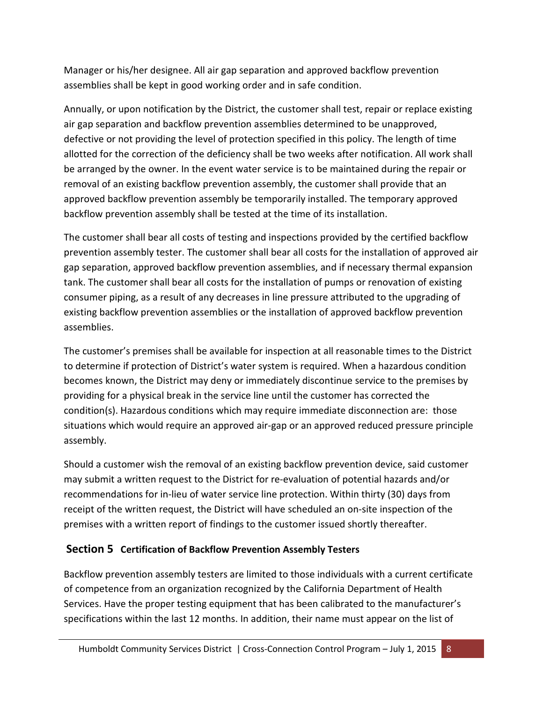Manager or his/her designee. All air gap separation and approved backflow prevention assemblies shall be kept in good working order and in safe condition.

Annually, or upon notification by the District, the customer shall test, repair or replace existing air gap separation and backflow prevention assemblies determined to be unapproved, defective or not providing the level of protection specified in this policy. The length of time allotted for the correction of the deficiency shall be two weeks after notification. All work shall be arranged by the owner. In the event water service is to be maintained during the repair or removal of an existing backflow prevention assembly, the customer shall provide that an approved backflow prevention assembly be temporarily installed. The temporary approved backflow prevention assembly shall be tested at the time of its installation.

The customer shall bear all costs of testing and inspections provided by the certified backflow prevention assembly tester. The customer shall bear all costs for the installation of approved air gap separation, approved backflow prevention assemblies, and if necessary thermal expansion tank. The customer shall bear all costs for the installation of pumps or renovation of existing consumer piping, as a result of any decreases in line pressure attributed to the upgrading of existing backflow prevention assemblies or the installation of approved backflow prevention assemblies.

The customer's premises shall be available for inspection at all reasonable times to the District to determine if protection of District's water system is required. When a hazardous condition becomes known, the District may deny or immediately discontinue service to the premises by providing for a physical break in the service line until the customer has corrected the condition(s). Hazardous conditions which may require immediate disconnection are: those situations which would require an approved air-gap or an approved reduced pressure principle assembly.

Should a customer wish the removal of an existing backflow prevention device, said customer may submit a written request to the District for re-evaluation of potential hazards and/or recommendations for in-lieu of water service line protection. Within thirty (30) days from receipt of the written request, the District will have scheduled an on-site inspection of the premises with a written report of findings to the customer issued shortly thereafter.

#### **Section 5 Certification of Backflow Prevention Assembly Testers**

Backflow prevention assembly testers are limited to those individuals with a current certificate of competence from an organization recognized by the California Department of Health Services. Have the proper testing equipment that has been calibrated to the manufacturer's specifications within the last 12 months. In addition, their name must appear on the list of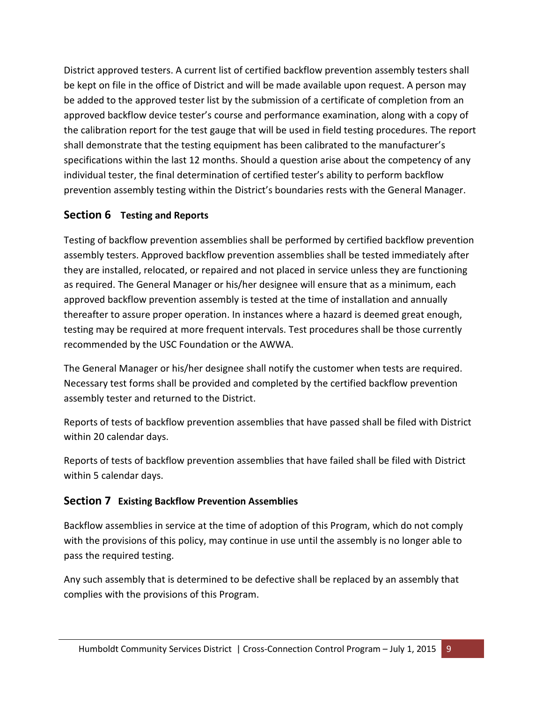District approved testers. A current list of certified backflow prevention assembly testers shall be kept on file in the office of District and will be made available upon request. A person may be added to the approved tester list by the submission of a certificate of completion from an approved backflow device tester's course and performance examination, along with a copy of the calibration report for the test gauge that will be used in field testing procedures. The report shall demonstrate that the testing equipment has been calibrated to the manufacturer's specifications within the last 12 months. Should a question arise about the competency of any individual tester, the final determination of certified tester's ability to perform backflow prevention assembly testing within the District's boundaries rests with the General Manager.

#### **Section 6 Testing and Reports**

Testing of backflow prevention assemblies shall be performed by certified backflow prevention assembly testers. Approved backflow prevention assemblies shall be tested immediately after they are installed, relocated, or repaired and not placed in service unless they are functioning as required. The General Manager or his/her designee will ensure that as a minimum, each approved backflow prevention assembly is tested at the time of installation and annually thereafter to assure proper operation. In instances where a hazard is deemed great enough, testing may be required at more frequent intervals. Test procedures shall be those currently recommended by the USC Foundation or the AWWA.

The General Manager or his/her designee shall notify the customer when tests are required. Necessary test forms shall be provided and completed by the certified backflow prevention assembly tester and returned to the District.

Reports of tests of backflow prevention assemblies that have passed shall be filed with District within 20 calendar days.

Reports of tests of backflow prevention assemblies that have failed shall be filed with District within 5 calendar days.

#### **Section 7 Existing Backflow Prevention Assemblies**

Backflow assemblies in service at the time of adoption of this Program, which do not comply with the provisions of this policy, may continue in use until the assembly is no longer able to pass the required testing.

Any such assembly that is determined to be defective shall be replaced by an assembly that complies with the provisions of this Program.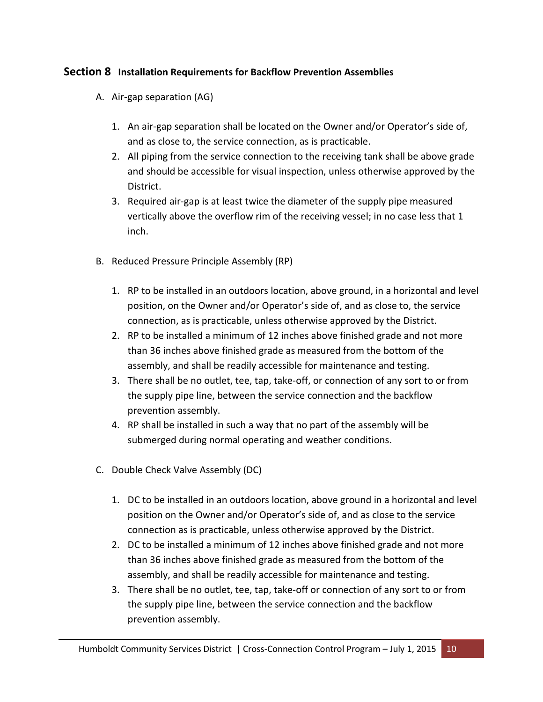#### **Section 8 Installation Requirements for Backflow Prevention Assemblies**

- A. Air-gap separation (AG)
	- 1. An air-gap separation shall be located on the Owner and/or Operator's side of, and as close to, the service connection, as is practicable.
	- 2. All piping from the service connection to the receiving tank shall be above grade and should be accessible for visual inspection, unless otherwise approved by the District.
	- 3. Required air-gap is at least twice the diameter of the supply pipe measured vertically above the overflow rim of the receiving vessel; in no case less that 1 inch.
- B. Reduced Pressure Principle Assembly (RP)
	- 1. RP to be installed in an outdoors location, above ground, in a horizontal and level position, on the Owner and/or Operator's side of, and as close to, the service connection, as is practicable, unless otherwise approved by the District.
	- 2. RP to be installed a minimum of 12 inches above finished grade and not more than 36 inches above finished grade as measured from the bottom of the assembly, and shall be readily accessible for maintenance and testing.
	- 3. There shall be no outlet, tee, tap, take-off, or connection of any sort to or from the supply pipe line, between the service connection and the backflow prevention assembly.
	- 4. RP shall be installed in such a way that no part of the assembly will be submerged during normal operating and weather conditions.
- C. Double Check Valve Assembly (DC)
	- 1. DC to be installed in an outdoors location, above ground in a horizontal and level position on the Owner and/or Operator's side of, and as close to the service connection as is practicable, unless otherwise approved by the District.
	- 2. DC to be installed a minimum of 12 inches above finished grade and not more than 36 inches above finished grade as measured from the bottom of the assembly, and shall be readily accessible for maintenance and testing.
	- 3. There shall be no outlet, tee, tap, take-off or connection of any sort to or from the supply pipe line, between the service connection and the backflow prevention assembly.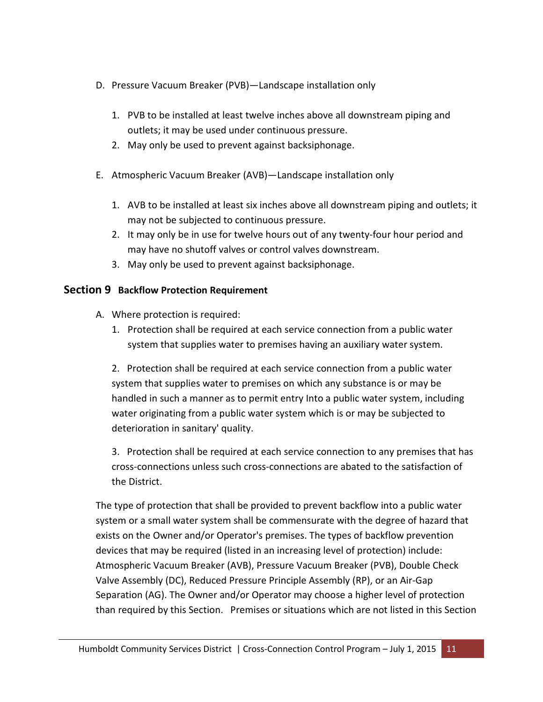- D. Pressure Vacuum Breaker (PVB)—Landscape installation only
	- 1. PVB to be installed at least twelve inches above all downstream piping and outlets; it may be used under continuous pressure.
	- 2. May only be used to prevent against backsiphonage.
- E. Atmospheric Vacuum Breaker (AVB)—Landscape installation only
	- 1. AVB to be installed at least six inches above all downstream piping and outlets; it may not be subjected to continuous pressure.
	- 2. It may only be in use for twelve hours out of any twenty-four hour period and may have no shutoff valves or control valves downstream.
	- 3. May only be used to prevent against backsiphonage.

#### **Section 9 Backflow Protection Requirement**

- A. Where protection is required:
	- 1. Protection shall be required at each service connection from a public water system that supplies water to premises having an auxiliary water system.

2. Protection shall be required at each service connection from a public water system that supplies water to premises on which any substance is or may be handled in such a manner as to permit entry Into a public water system, including water originating from a public water system which is or may be subjected to deterioration in sanitary' quality.

3. Protection shall be required at each service connection to any premises that has cross-connections unless such cross-connections are abated to the satisfaction of the District.

The type of protection that shall be provided to prevent backflow into a public water system or a small water system shall be commensurate with the degree of hazard that exists on the Owner and/or Operator's premises. The types of backflow prevention devices that may be required (listed in an increasing level of protection) include: Atmospheric Vacuum Breaker (AVB), Pressure Vacuum Breaker (PVB), Double Check Valve Assembly (DC), Reduced Pressure Principle Assembly (RP), or an Air-Gap Separation (AG). The Owner and/or Operator may choose a higher level of protection than required by this Section. Premises or situations which are not listed in this Section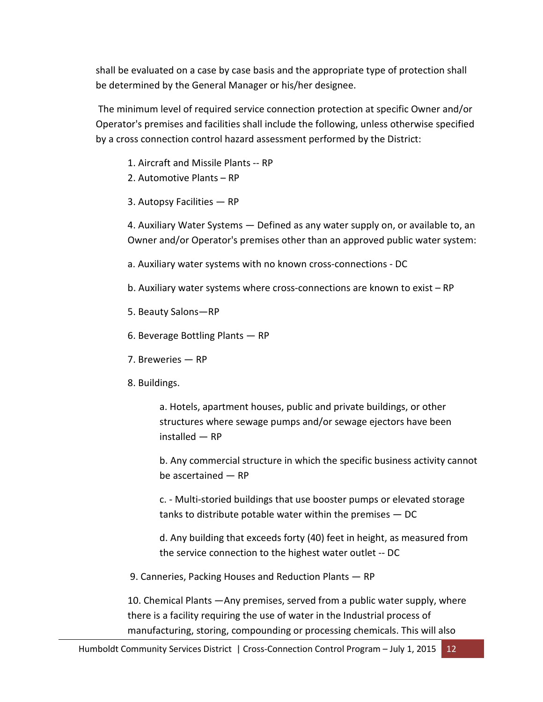shall be evaluated on a case by case basis and the appropriate type of protection shall be determined by the General Manager or his/her designee.

 The minimum level of required service connection protection at specific Owner and/or Operator's premises and facilities shall include the following, unless otherwise specified by a cross connection control hazard assessment performed by the District:

- 1. Aircraft and Missile Plants -- RP
- 2. Automotive Plants RP
- 3. Autopsy Facilities RP

4. Auxiliary Water Systems — Defined as any water supply on, or available to, an Owner and/or Operator's premises other than an approved public water system:

a. Auxiliary water systems with no known cross-connections - DC

- b. Auxiliary water systems where cross-connections are known to exist RP
- 5. Beauty Salons—RP
- 6. Beverage Bottling Plants RP
- 7. Breweries RP
- 8. Buildings.

a. Hotels, apartment houses, public and private buildings, or other structures where sewage pumps and/or sewage ejectors have been installed — RP

b. Any commercial structure in which the specific business activity cannot be ascertained — RP

c. - Multi-storied buildings that use booster pumps or elevated storage tanks to distribute potable water within the premises — DC

d. Any building that exceeds forty (40) feet in height, as measured from the service connection to the highest water outlet -- DC

9. Canneries, Packing Houses and Reduction Plants — RP

10. Chemical Plants —Any premises, served from a public water supply, where there is a facility requiring the use of water in the Industrial process of manufacturing, storing, compounding or processing chemicals. This will also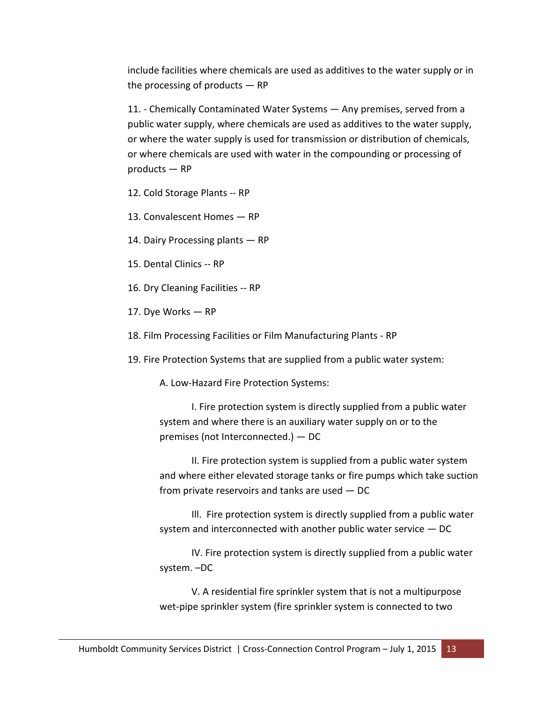include facilities where chemicals are used as additives to the water supply or in the processing of products  $-$  RP

11. - Chemically Contaminated Water Systems — Any premises, served from a public water supply, where chemicals are used as additives to the water supply, or where the water supply is used for transmission or distribution of chemicals, or where chemicals are used with water in the compounding or processing of products — RP

12. Cold Storage Plants -- RP

13. Convalescent Homes — RP

14. Dairy Processing plants — RP

15. Dental Clinics -- RP

16. Dry Cleaning Facilities -- RP

17. Dye Works — RP

18. Film Processing Facilities or Film Manufacturing Plants - RP

19. Fire Protection Systems that are supplied from a public water system:

A. Low-Hazard Fire Protection Systems:

I. Fire protection system is directly supplied from a public water system and where there is an auxiliary water supply on or to the premises (not Interconnected.) — DC

II. Fire protection system is supplied from a public water system and where either elevated storage tanks or fire pumps which take suction from private reservoirs and tanks are used — DC

Ill. Fire protection system is directly supplied from a public water system and interconnected with another public water service — DC

IV. Fire protection system is directly supplied from a public water system. –DC

V. A residential fire sprinkler system that is not a multipurpose wet-pipe sprinkler system (fire sprinkler system is connected to two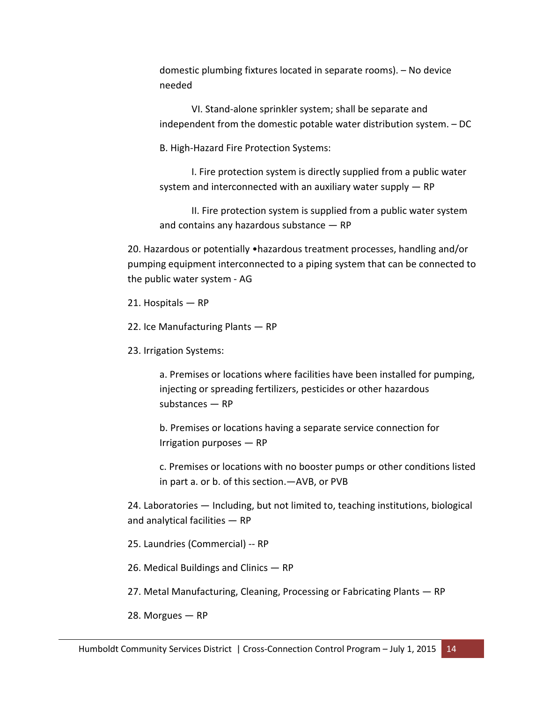domestic plumbing fixtures located in separate rooms). – No device needed

VI. Stand-alone sprinkler system; shall be separate and independent from the domestic potable water distribution system. – DC

B. High-Hazard Fire Protection Systems:

I. Fire protection system is directly supplied from a public water system and interconnected with an auxiliary water supply — RP

II. Fire protection system is supplied from a public water system and contains any hazardous substance — RP

20. Hazardous or potentially •hazardous treatment processes, handling and/or pumping equipment interconnected to a piping system that can be connected to the public water system - AG

21. Hospitals — RP

22. Ice Manufacturing Plants — RP

23. Irrigation Systems:

a. Premises or locations where facilities have been installed for pumping, injecting or spreading fertilizers, pesticides or other hazardous substances — RP

b. Premises or locations having a separate service connection for Irrigation purposes — RP

c. Premises or locations with no booster pumps or other conditions listed in part a. or b. of this section.—AVB, or PVB

24. Laboratories — Including, but not limited to, teaching institutions, biological and analytical facilities — RP

25. Laundries (Commercial) -- RP

26. Medical Buildings and Clinics — RP

27. Metal Manufacturing, Cleaning, Processing or Fabricating Plants — RP

28. Morgues — RP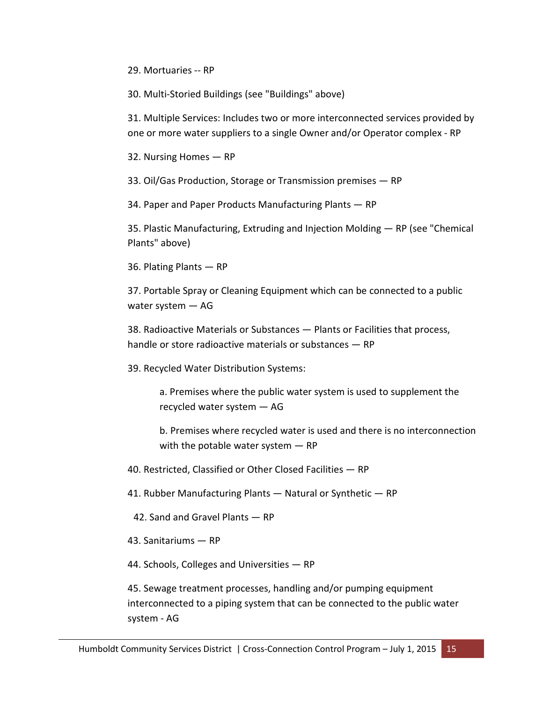29. Mortuaries -- RP

30. Multi-Storied Buildings (see "Buildings" above)

31. Multiple Services: Includes two or more interconnected services provided by one or more water suppliers to a single Owner and/or Operator complex - RP

32. Nursing Homes — RP

33. Oil/Gas Production, Storage or Transmission premises — RP

34. Paper and Paper Products Manufacturing Plants — RP

35. Plastic Manufacturing, Extruding and Injection Molding — RP (see "Chemical Plants" above)

36. Plating Plants — RP

37. Portable Spray or Cleaning Equipment which can be connected to a public water system — AG

38. Radioactive Materials or Substances — Plants or Facilities that process, handle or store radioactive materials or substances — RP

39. Recycled Water Distribution Systems:

a. Premises where the public water system is used to supplement the recycled water system — AG

b. Premises where recycled water is used and there is no interconnection with the potable water system  $-$  RP

40. Restricted, Classified or Other Closed Facilities — RP

41. Rubber Manufacturing Plants — Natural or Synthetic — RP

42. Sand and Gravel Plants — RP

43. Sanitariums — RP

44. Schools, Colleges and Universities — RP

45. Sewage treatment processes, handling and/or pumping equipment interconnected to a piping system that can be connected to the public water system - AG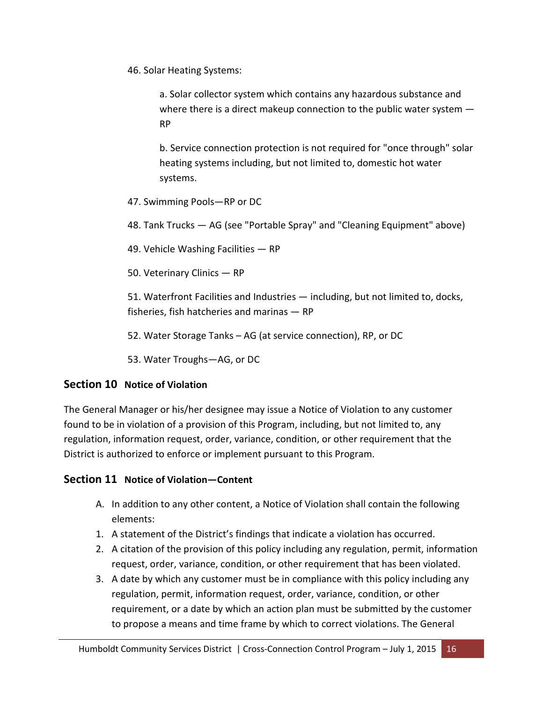46. Solar Heating Systems:

a. Solar collector system which contains any hazardous substance and where there is a direct makeup connection to the public water system  $-$ RP

b. Service connection protection is not required for "once through" solar heating systems including, but not limited to, domestic hot water systems.

- 47. Swimming Pools—RP or DC
- 48. Tank Trucks AG (see "Portable Spray" and "Cleaning Equipment" above)
- 49. Vehicle Washing Facilities RP
- 50. Veterinary Clinics RP

51. Waterfront Facilities and Industries — including, but not limited to, docks, fisheries, fish hatcheries and marinas — RP

52. Water Storage Tanks – AG (at service connection), RP, or DC

53. Water Troughs—AG, or DC

#### **Section 10 Notice of Violation**

The General Manager or his/her designee may issue a Notice of Violation to any customer found to be in violation of a provision of this Program, including, but not limited to, any regulation, information request, order, variance, condition, or other requirement that the District is authorized to enforce or implement pursuant to this Program.

#### **Section 11 Notice of Violation—Content**

- A. In addition to any other content, a Notice of Violation shall contain the following elements:
- 1. A statement of the District's findings that indicate a violation has occurred.
- 2. A citation of the provision of this policy including any regulation, permit, information request, order, variance, condition, or other requirement that has been violated.
- 3. A date by which any customer must be in compliance with this policy including any regulation, permit, information request, order, variance, condition, or other requirement, or a date by which an action plan must be submitted by the customer to propose a means and time frame by which to correct violations. The General